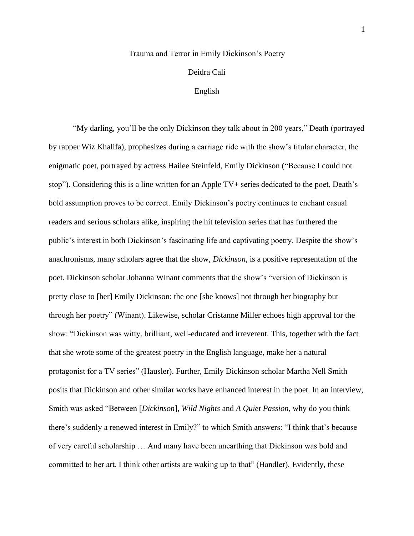### Trauma and Terror in Emily Dickinson's Poetry

# Deidra Cali

## English

"My darling, you'll be the only Dickinson they talk about in 200 years," Death (portrayed by rapper Wiz Khalifa), prophesizes during a carriage ride with the show's titular character, the enigmatic poet, portrayed by actress Hailee Steinfeld, Emily Dickinson ("Because I could not stop"). Considering this is a line written for an Apple TV+ series dedicated to the poet, Death's bold assumption proves to be correct. Emily Dickinson's poetry continues to enchant casual readers and serious scholars alike, inspiring the hit television series that has furthered the public's interest in both Dickinson's fascinating life and captivating poetry. Despite the show's anachronisms, many scholars agree that the show, *Dickinson*, is a positive representation of the poet. Dickinson scholar Johanna Winant comments that the show's "version of Dickinson is pretty close to [her] Emily Dickinson: the one [she knows] not through her biography but through her poetry" (Winant). Likewise, scholar Cristanne Miller echoes high approval for the show: "Dickinson was witty, brilliant, well-educated and irreverent. This, together with the fact that she wrote some of the greatest poetry in the English language, make her a natural protagonist for a TV series" (Hausler). Further, Emily Dickinson scholar Martha Nell Smith posits that Dickinson and other similar works have enhanced interest in the poet. In an interview, Smith was asked "Between [*Dickinson*], *Wild Nights* and *A Quiet Passion*, why do you think there's suddenly a renewed interest in Emily?" to which Smith answers: "I think that's because of very careful scholarship … And many have been unearthing that Dickinson was bold and committed to her art. I think other artists are waking up to that" (Handler). Evidently, these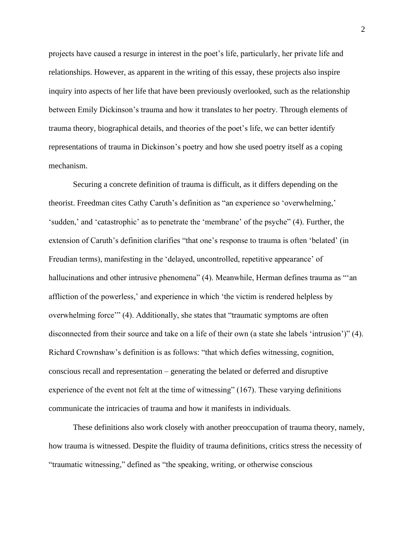projects have caused a resurge in interest in the poet's life, particularly, her private life and relationships. However, as apparent in the writing of this essay, these projects also inspire inquiry into aspects of her life that have been previously overlooked, such as the relationship between Emily Dickinson's trauma and how it translates to her poetry. Through elements of trauma theory, biographical details, and theories of the poet's life, we can better identify representations of trauma in Dickinson's poetry and how she used poetry itself as a coping mechanism.

Securing a concrete definition of trauma is difficult, as it differs depending on the theorist. Freedman cites Cathy Caruth's definition as "an experience so 'overwhelming,' 'sudden,' and 'catastrophic' as to penetrate the 'membrane' of the psyche" (4). Further, the extension of Caruth's definition clarifies "that one's response to trauma is often 'belated' (in Freudian terms), manifesting in the 'delayed, uncontrolled, repetitive appearance' of hallucinations and other intrusive phenomena" (4). Meanwhile, Herman defines trauma as "'an affliction of the powerless,' and experience in which 'the victim is rendered helpless by overwhelming force'" (4). Additionally, she states that "traumatic symptoms are often disconnected from their source and take on a life of their own (a state she labels 'intrusion')" (4). Richard Crownshaw's definition is as follows: "that which defies witnessing, cognition, conscious recall and representation – generating the belated or deferred and disruptive experience of the event not felt at the time of witnessing" (167). These varying definitions communicate the intricacies of trauma and how it manifests in individuals.

These definitions also work closely with another preoccupation of trauma theory, namely, how trauma is witnessed. Despite the fluidity of trauma definitions, critics stress the necessity of "traumatic witnessing," defined as "the speaking, writing, or otherwise conscious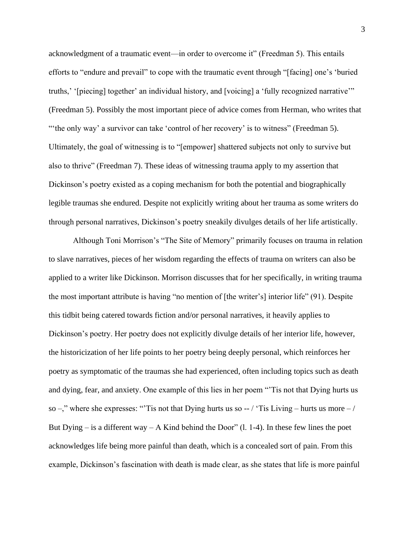acknowledgment of a traumatic event—in order to overcome it" (Freedman 5). This entails efforts to "endure and prevail" to cope with the traumatic event through "[facing] one's 'buried truths,' '[piecing] together' an individual history, and [voicing] a 'fully recognized narrative'" (Freedman 5). Possibly the most important piece of advice comes from Herman, who writes that "the only way' a survivor can take 'control of her recovery' is to witness" (Freedman 5). Ultimately, the goal of witnessing is to "[empower] shattered subjects not only to survive but also to thrive" (Freedman 7). These ideas of witnessing trauma apply to my assertion that Dickinson's poetry existed as a coping mechanism for both the potential and biographically legible traumas she endured. Despite not explicitly writing about her trauma as some writers do through personal narratives, Dickinson's poetry sneakily divulges details of her life artistically.

Although Toni Morrison's "The Site of Memory" primarily focuses on trauma in relation to slave narratives, pieces of her wisdom regarding the effects of trauma on writers can also be applied to a writer like Dickinson. Morrison discusses that for her specifically, in writing trauma the most important attribute is having "no mention of [the writer's] interior life" (91). Despite this tidbit being catered towards fiction and/or personal narratives, it heavily applies to Dickinson's poetry. Her poetry does not explicitly divulge details of her interior life, however, the historicization of her life points to her poetry being deeply personal, which reinforces her poetry as symptomatic of the traumas she had experienced, often including topics such as death and dying, fear, and anxiety. One example of this lies in her poem "'Tis not that Dying hurts us so  $-\frac{1}{2}$ ," where she expresses: "Tis not that Dying hurts us so  $-$  / 'Tis Living – hurts us more – / But Dying – is a different way – A Kind behind the Door" (1. 1-4). In these few lines the poet acknowledges life being more painful than death, which is a concealed sort of pain. From this example, Dickinson's fascination with death is made clear, as she states that life is more painful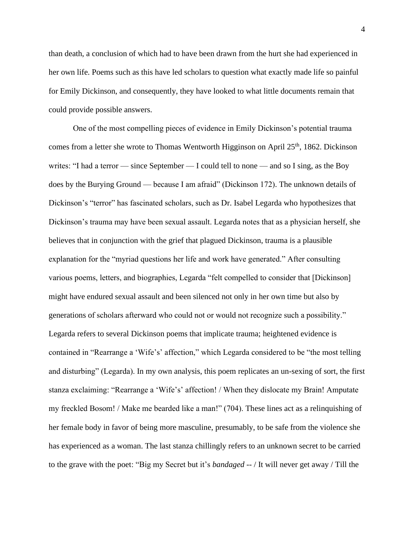than death, a conclusion of which had to have been drawn from the hurt she had experienced in her own life. Poems such as this have led scholars to question what exactly made life so painful for Emily Dickinson, and consequently, they have looked to what little documents remain that could provide possible answers.

One of the most compelling pieces of evidence in Emily Dickinson's potential trauma comes from a letter she wrote to Thomas Wentworth Higginson on April 25<sup>th</sup>, 1862. Dickinson writes: "I had a terror — since September — I could tell to none — and so I sing, as the Boy does by the Burying Ground — because I am afraid" (Dickinson 172). The unknown details of Dickinson's "terror" has fascinated scholars, such as Dr. Isabel Legarda who hypothesizes that Dickinson's trauma may have been sexual assault. Legarda notes that as a physician herself, she believes that in conjunction with the grief that plagued Dickinson, trauma is a plausible explanation for the "myriad questions her life and work have generated." After consulting various poems, letters, and biographies, Legarda "felt compelled to consider that [Dickinson] might have endured sexual assault and been silenced not only in her own time but also by generations of scholars afterward who could not or would not recognize such a possibility." Legarda refers to several Dickinson poems that implicate trauma; heightened evidence is contained in "Rearrange a 'Wife's' affection," which Legarda considered to be "the most telling and disturbing" (Legarda). In my own analysis, this poem replicates an un-sexing of sort, the first stanza exclaiming: "Rearrange a 'Wife's' affection! / When they dislocate my Brain! Amputate my freckled Bosom! / Make me bearded like a man!" (704). These lines act as a relinquishing of her female body in favor of being more masculine, presumably, to be safe from the violence she has experienced as a woman. The last stanza chillingly refers to an unknown secret to be carried to the grave with the poet: "Big my Secret but it's *bandaged* -- / It will never get away / Till the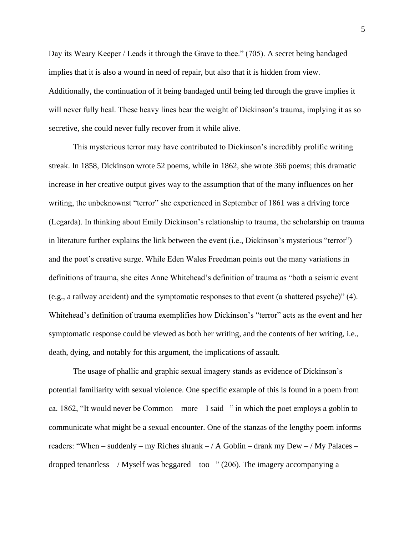Day its Weary Keeper / Leads it through the Grave to thee." (705). A secret being bandaged implies that it is also a wound in need of repair, but also that it is hidden from view. Additionally, the continuation of it being bandaged until being led through the grave implies it will never fully heal. These heavy lines bear the weight of Dickinson's trauma, implying it as so secretive, she could never fully recover from it while alive.

This mysterious terror may have contributed to Dickinson's incredibly prolific writing streak. In 1858, Dickinson wrote 52 poems, while in 1862, she wrote 366 poems; this dramatic increase in her creative output gives way to the assumption that of the many influences on her writing, the unbeknownst "terror" she experienced in September of 1861 was a driving force (Legarda). In thinking about Emily Dickinson's relationship to trauma, the scholarship on trauma in literature further explains the link between the event (i.e., Dickinson's mysterious "terror") and the poet's creative surge. While Eden Wales Freedman points out the many variations in definitions of trauma, she cites Anne Whitehead's definition of trauma as "both a seismic event (e.g., a railway accident) and the symptomatic responses to that event (a shattered psyche)" (4). Whitehead's definition of trauma exemplifies how Dickinson's "terror" acts as the event and her symptomatic response could be viewed as both her writing, and the contents of her writing, i.e., death, dying, and notably for this argument, the implications of assault.

The usage of phallic and graphic sexual imagery stands as evidence of Dickinson's potential familiarity with sexual violence. One specific example of this is found in a poem from ca. 1862, "It would never be Common – more – I said –" in which the poet employs a goblin to communicate what might be a sexual encounter. One of the stanzas of the lengthy poem informs readers: "When – suddenly – my Riches shrank – / A Goblin – drank my Dew – / My Palaces – dropped tenantless  $-$  / Myself was beggared – too –" (206). The imagery accompanying a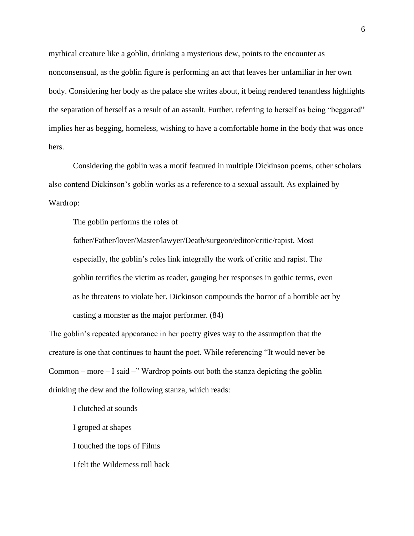mythical creature like a goblin, drinking a mysterious dew, points to the encounter as nonconsensual, as the goblin figure is performing an act that leaves her unfamiliar in her own body. Considering her body as the palace she writes about, it being rendered tenantless highlights the separation of herself as a result of an assault. Further, referring to herself as being "beggared" implies her as begging, homeless, wishing to have a comfortable home in the body that was once hers.

Considering the goblin was a motif featured in multiple Dickinson poems, other scholars also contend Dickinson's goblin works as a reference to a sexual assault. As explained by Wardrop:

The goblin performs the roles of

father/Father/lover/Master/lawyer/Death/surgeon/editor/critic/rapist. Most especially, the goblin's roles link integrally the work of critic and rapist. The goblin terrifies the victim as reader, gauging her responses in gothic terms, even as he threatens to violate her. Dickinson compounds the horror of a horrible act by casting a monster as the major performer. (84)

The goblin's repeated appearance in her poetry gives way to the assumption that the creature is one that continues to haunt the poet. While referencing "It would never be Common – more – I said –" Wardrop points out both the stanza depicting the goblin drinking the dew and the following stanza, which reads:

I clutched at sounds –

I groped at shapes –

I touched the tops of Films

I felt the Wilderness roll back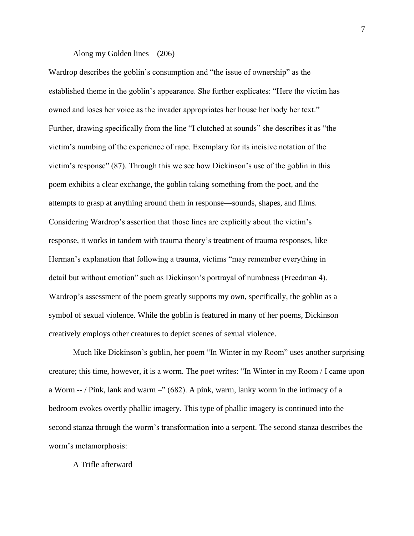## Along my Golden lines  $- (206)$

Wardrop describes the goblin's consumption and "the issue of ownership" as the established theme in the goblin's appearance. She further explicates: "Here the victim has owned and loses her voice as the invader appropriates her house her body her text." Further, drawing specifically from the line "I clutched at sounds" she describes it as "the victim's numbing of the experience of rape. Exemplary for its incisive notation of the victim's response" (87). Through this we see how Dickinson's use of the goblin in this poem exhibits a clear exchange, the goblin taking something from the poet, and the attempts to grasp at anything around them in response—sounds, shapes, and films. Considering Wardrop's assertion that those lines are explicitly about the victim's response, it works in tandem with trauma theory's treatment of trauma responses, like Herman's explanation that following a trauma, victims "may remember everything in detail but without emotion" such as Dickinson's portrayal of numbness (Freedman 4). Wardrop's assessment of the poem greatly supports my own, specifically, the goblin as a symbol of sexual violence. While the goblin is featured in many of her poems, Dickinson creatively employs other creatures to depict scenes of sexual violence.

Much like Dickinson's goblin, her poem "In Winter in my Room" uses another surprising creature; this time, however, it is a worm. The poet writes: "In Winter in my Room / I came upon a Worm -- / Pink, lank and warm –" (682). A pink, warm, lanky worm in the intimacy of a bedroom evokes overtly phallic imagery. This type of phallic imagery is continued into the second stanza through the worm's transformation into a serpent. The second stanza describes the worm's metamorphosis:

# A Trifle afterward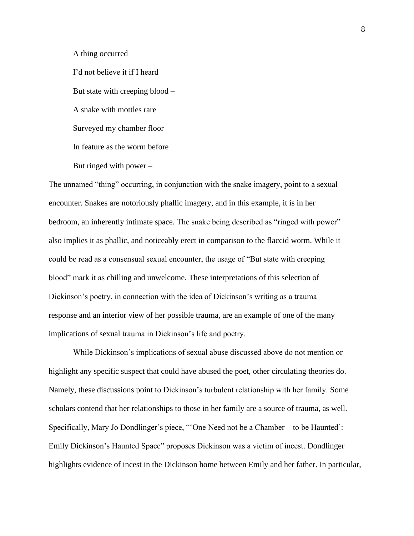A thing occurred

I'd not believe it if I heard But state with creeping blood – A snake with mottles rare Surveyed my chamber floor In feature as the worm before But ringed with power –

The unnamed "thing" occurring, in conjunction with the snake imagery, point to a sexual encounter. Snakes are notoriously phallic imagery, and in this example, it is in her bedroom, an inherently intimate space. The snake being described as "ringed with power" also implies it as phallic, and noticeably erect in comparison to the flaccid worm. While it could be read as a consensual sexual encounter, the usage of "But state with creeping blood" mark it as chilling and unwelcome. These interpretations of this selection of Dickinson's poetry, in connection with the idea of Dickinson's writing as a trauma response and an interior view of her possible trauma, are an example of one of the many implications of sexual trauma in Dickinson's life and poetry.

While Dickinson's implications of sexual abuse discussed above do not mention or highlight any specific suspect that could have abused the poet, other circulating theories do. Namely, these discussions point to Dickinson's turbulent relationship with her family. Some scholars contend that her relationships to those in her family are a source of trauma, as well. Specifically, Mary Jo Dondlinger's piece, "'One Need not be a Chamber—to be Haunted': Emily Dickinson's Haunted Space" proposes Dickinson was a victim of incest. Dondlinger highlights evidence of incest in the Dickinson home between Emily and her father. In particular,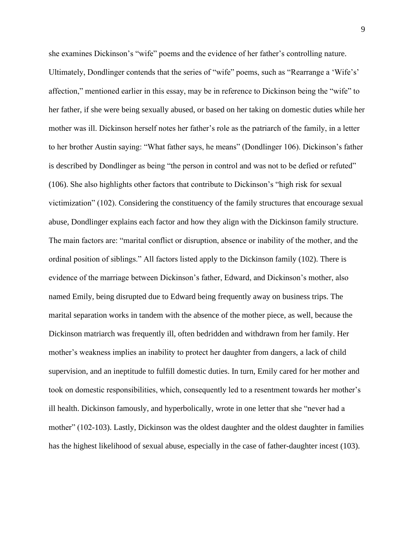she examines Dickinson's "wife" poems and the evidence of her father's controlling nature. Ultimately, Dondlinger contends that the series of "wife" poems, such as "Rearrange a 'Wife's' affection," mentioned earlier in this essay, may be in reference to Dickinson being the "wife" to her father, if she were being sexually abused, or based on her taking on domestic duties while her mother was ill. Dickinson herself notes her father's role as the patriarch of the family, in a letter to her brother Austin saying: "What father says, he means" (Dondlinger 106). Dickinson's father is described by Dondlinger as being "the person in control and was not to be defied or refuted" (106). She also highlights other factors that contribute to Dickinson's "high risk for sexual victimization" (102). Considering the constituency of the family structures that encourage sexual abuse, Dondlinger explains each factor and how they align with the Dickinson family structure. The main factors are: "marital conflict or disruption, absence or inability of the mother, and the ordinal position of siblings." All factors listed apply to the Dickinson family (102). There is evidence of the marriage between Dickinson's father, Edward, and Dickinson's mother, also named Emily, being disrupted due to Edward being frequently away on business trips. The marital separation works in tandem with the absence of the mother piece, as well, because the Dickinson matriarch was frequently ill, often bedridden and withdrawn from her family. Her mother's weakness implies an inability to protect her daughter from dangers, a lack of child supervision, and an ineptitude to fulfill domestic duties. In turn, Emily cared for her mother and took on domestic responsibilities, which, consequently led to a resentment towards her mother's ill health. Dickinson famously, and hyperbolically, wrote in one letter that she "never had a mother" (102-103). Lastly, Dickinson was the oldest daughter and the oldest daughter in families has the highest likelihood of sexual abuse, especially in the case of father-daughter incest (103).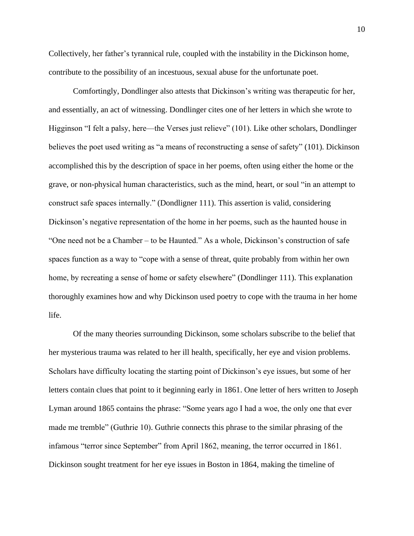Collectively, her father's tyrannical rule, coupled with the instability in the Dickinson home, contribute to the possibility of an incestuous, sexual abuse for the unfortunate poet.

Comfortingly, Dondlinger also attests that Dickinson's writing was therapeutic for her, and essentially, an act of witnessing. Dondlinger cites one of her letters in which she wrote to Higginson "I felt a palsy, here—the Verses just relieve" (101). Like other scholars, Dondlinger believes the poet used writing as "a means of reconstructing a sense of safety" (101). Dickinson accomplished this by the description of space in her poems, often using either the home or the grave, or non-physical human characteristics, such as the mind, heart, or soul "in an attempt to construct safe spaces internally." (Dondligner 111). This assertion is valid, considering Dickinson's negative representation of the home in her poems, such as the haunted house in "One need not be a Chamber – to be Haunted." As a whole, Dickinson's construction of safe spaces function as a way to "cope with a sense of threat, quite probably from within her own home, by recreating a sense of home or safety elsewhere" (Dondlinger 111). This explanation thoroughly examines how and why Dickinson used poetry to cope with the trauma in her home life.

Of the many theories surrounding Dickinson, some scholars subscribe to the belief that her mysterious trauma was related to her ill health, specifically, her eye and vision problems. Scholars have difficulty locating the starting point of Dickinson's eye issues, but some of her letters contain clues that point to it beginning early in 1861. One letter of hers written to Joseph Lyman around 1865 contains the phrase: "Some years ago I had a woe, the only one that ever made me tremble" (Guthrie 10). Guthrie connects this phrase to the similar phrasing of the infamous "terror since September" from April 1862, meaning, the terror occurred in 1861. Dickinson sought treatment for her eye issues in Boston in 1864, making the timeline of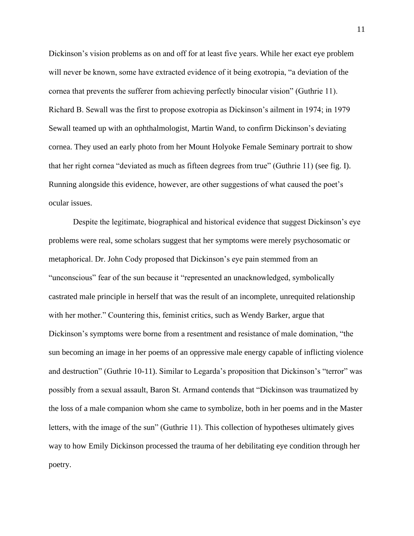Dickinson's vision problems as on and off for at least five years. While her exact eye problem will never be known, some have extracted evidence of it being exotropia, "a deviation of the cornea that prevents the sufferer from achieving perfectly binocular vision" (Guthrie 11). Richard B. Sewall was the first to propose exotropia as Dickinson's ailment in 1974; in 1979 Sewall teamed up with an ophthalmologist, Martin Wand, to confirm Dickinson's deviating cornea. They used an early photo from her Mount Holyoke Female Seminary portrait to show that her right cornea "deviated as much as fifteen degrees from true" (Guthrie 11) (see fig. I). Running alongside this evidence, however, are other suggestions of what caused the poet's ocular issues.

Despite the legitimate, biographical and historical evidence that suggest Dickinson's eye problems were real, some scholars suggest that her symptoms were merely psychosomatic or metaphorical. Dr. John Cody proposed that Dickinson's eye pain stemmed from an "unconscious" fear of the sun because it "represented an unacknowledged, symbolically castrated male principle in herself that was the result of an incomplete, unrequited relationship with her mother." Countering this, feminist critics, such as Wendy Barker, argue that Dickinson's symptoms were borne from a resentment and resistance of male domination, "the sun becoming an image in her poems of an oppressive male energy capable of inflicting violence and destruction" (Guthrie 10-11). Similar to Legarda's proposition that Dickinson's "terror" was possibly from a sexual assault, Baron St. Armand contends that "Dickinson was traumatized by the loss of a male companion whom she came to symbolize, both in her poems and in the Master letters, with the image of the sun" (Guthrie 11). This collection of hypotheses ultimately gives way to how Emily Dickinson processed the trauma of her debilitating eye condition through her poetry.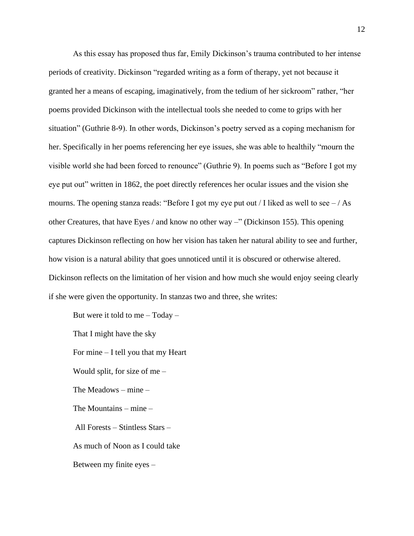As this essay has proposed thus far, Emily Dickinson's trauma contributed to her intense periods of creativity. Dickinson "regarded writing as a form of therapy, yet not because it granted her a means of escaping, imaginatively, from the tedium of her sickroom" rather, "her poems provided Dickinson with the intellectual tools she needed to come to grips with her situation" (Guthrie 8-9). In other words, Dickinson's poetry served as a coping mechanism for her. Specifically in her poems referencing her eye issues, she was able to healthily "mourn the visible world she had been forced to renounce" (Guthrie 9). In poems such as "Before I got my eye put out" written in 1862, the poet directly references her ocular issues and the vision she mourns. The opening stanza reads: "Before I got my eye put out / I liked as well to see  $-$  / As other Creatures, that have Eyes / and know no other way –" (Dickinson 155). This opening captures Dickinson reflecting on how her vision has taken her natural ability to see and further, how vision is a natural ability that goes unnoticed until it is obscured or otherwise altered. Dickinson reflects on the limitation of her vision and how much she would enjoy seeing clearly if she were given the opportunity. In stanzas two and three, she writes:

But were it told to me  $-$  Today  $-$ 

That I might have the sky For mine – I tell you that my Heart Would split, for size of me – The Meadows – mine – The Mountains – mine – All Forests – Stintless Stars – As much of Noon as I could take Between my finite eyes –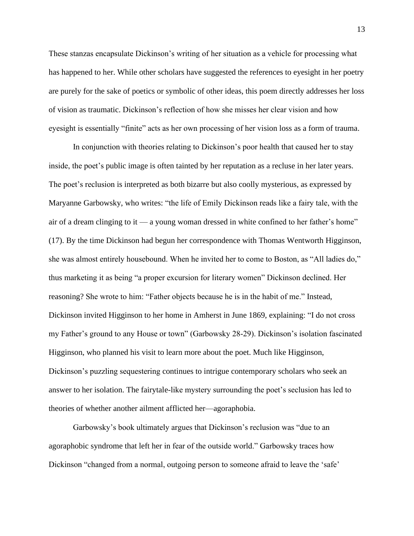These stanzas encapsulate Dickinson's writing of her situation as a vehicle for processing what has happened to her. While other scholars have suggested the references to eyesight in her poetry are purely for the sake of poetics or symbolic of other ideas, this poem directly addresses her loss of vision as traumatic. Dickinson's reflection of how she misses her clear vision and how eyesight is essentially "finite" acts as her own processing of her vision loss as a form of trauma.

In conjunction with theories relating to Dickinson's poor health that caused her to stay inside, the poet's public image is often tainted by her reputation as a recluse in her later years. The poet's reclusion is interpreted as both bizarre but also coolly mysterious, as expressed by Maryanne Garbowsky, who writes: "the life of Emily Dickinson reads like a fairy tale, with the air of a dream clinging to it — a young woman dressed in white confined to her father's home" (17). By the time Dickinson had begun her correspondence with Thomas Wentworth Higginson, she was almost entirely housebound. When he invited her to come to Boston, as "All ladies do," thus marketing it as being "a proper excursion for literary women" Dickinson declined. Her reasoning? She wrote to him: "Father objects because he is in the habit of me." Instead, Dickinson invited Higginson to her home in Amherst in June 1869, explaining: "I do not cross my Father's ground to any House or town" (Garbowsky 28-29). Dickinson's isolation fascinated Higginson, who planned his visit to learn more about the poet. Much like Higginson, Dickinson's puzzling sequestering continues to intrigue contemporary scholars who seek an answer to her isolation. The fairytale-like mystery surrounding the poet's seclusion has led to theories of whether another ailment afflicted her—agoraphobia.

Garbowsky's book ultimately argues that Dickinson's reclusion was "due to an agoraphobic syndrome that left her in fear of the outside world." Garbowsky traces how Dickinson "changed from a normal, outgoing person to someone afraid to leave the 'safe'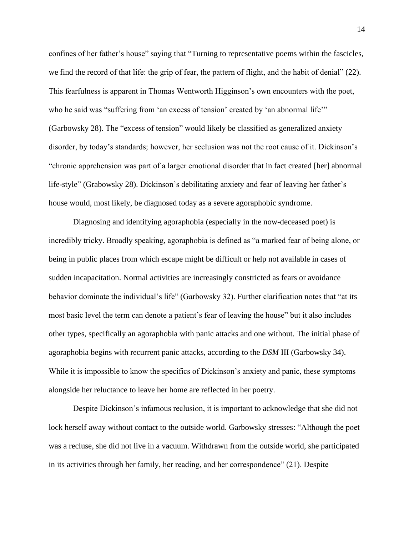confines of her father's house" saying that "Turning to representative poems within the fascicles, we find the record of that life: the grip of fear, the pattern of flight, and the habit of denial" (22). This fearfulness is apparent in Thomas Wentworth Higginson's own encounters with the poet, who he said was "suffering from 'an excess of tension' created by 'an abnormal life'" (Garbowsky 28). The "excess of tension" would likely be classified as generalized anxiety disorder, by today's standards; however, her seclusion was not the root cause of it. Dickinson's "chronic apprehension was part of a larger emotional disorder that in fact created [her] abnormal life-style" (Grabowsky 28). Dickinson's debilitating anxiety and fear of leaving her father's house would, most likely, be diagnosed today as a severe agoraphobic syndrome.

Diagnosing and identifying agoraphobia (especially in the now-deceased poet) is incredibly tricky. Broadly speaking, agoraphobia is defined as "a marked fear of being alone, or being in public places from which escape might be difficult or help not available in cases of sudden incapacitation. Normal activities are increasingly constricted as fears or avoidance behavior dominate the individual's life" (Garbowsky 32). Further clarification notes that "at its most basic level the term can denote a patient's fear of leaving the house" but it also includes other types, specifically an agoraphobia with panic attacks and one without. The initial phase of agoraphobia begins with recurrent panic attacks, according to the *DSM* III (Garbowsky 34). While it is impossible to know the specifics of Dickinson's anxiety and panic, these symptoms alongside her reluctance to leave her home are reflected in her poetry.

Despite Dickinson's infamous reclusion, it is important to acknowledge that she did not lock herself away without contact to the outside world. Garbowsky stresses: "Although the poet was a recluse, she did not live in a vacuum. Withdrawn from the outside world, she participated in its activities through her family, her reading, and her correspondence" (21). Despite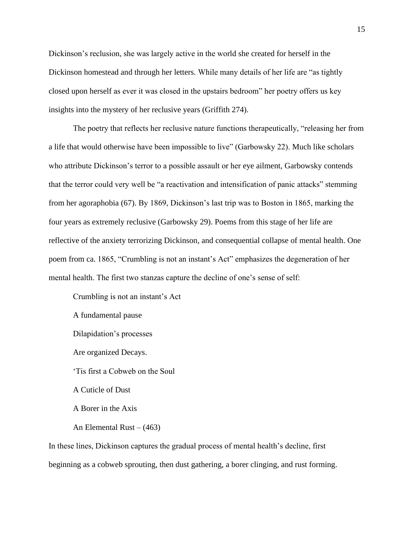Dickinson's reclusion, she was largely active in the world she created for herself in the Dickinson homestead and through her letters. While many details of her life are "as tightly closed upon herself as ever it was closed in the upstairs bedroom" her poetry offers us key insights into the mystery of her reclusive years (Griffith 274).

The poetry that reflects her reclusive nature functions therapeutically, "releasing her from a life that would otherwise have been impossible to live" (Garbowsky 22). Much like scholars who attribute Dickinson's terror to a possible assault or her eye ailment, Garbowsky contends that the terror could very well be "a reactivation and intensification of panic attacks" stemming from her agoraphobia (67). By 1869, Dickinson's last trip was to Boston in 1865, marking the four years as extremely reclusive (Garbowsky 29). Poems from this stage of her life are reflective of the anxiety terrorizing Dickinson, and consequential collapse of mental health. One poem from ca. 1865, "Crumbling is not an instant's Act" emphasizes the degeneration of her mental health. The first two stanzas capture the decline of one's sense of self:

Crumbling is not an instant's Act A fundamental pause Dilapidation's processes Are organized Decays. 'Tis first a Cobweb on the Soul A Cuticle of Dust A Borer in the Axis An Elemental Rust  $- (463)$ 

In these lines, Dickinson captures the gradual process of mental health's decline, first beginning as a cobweb sprouting, then dust gathering, a borer clinging, and rust forming.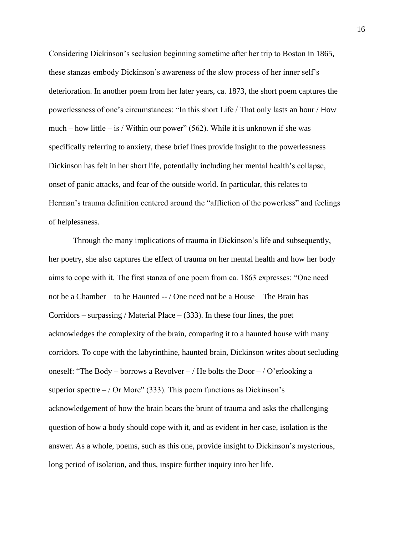Considering Dickinson's seclusion beginning sometime after her trip to Boston in 1865, these stanzas embody Dickinson's awareness of the slow process of her inner self's deterioration. In another poem from her later years, ca. 1873, the short poem captures the powerlessness of one's circumstances: "In this short Life / That only lasts an hour / How much – how little – is / Within our power" (562). While it is unknown if she was specifically referring to anxiety, these brief lines provide insight to the powerlessness Dickinson has felt in her short life, potentially including her mental health's collapse, onset of panic attacks, and fear of the outside world. In particular, this relates to Herman's trauma definition centered around the "affliction of the powerless" and feelings of helplessness.

Through the many implications of trauma in Dickinson's life and subsequently, her poetry, she also captures the effect of trauma on her mental health and how her body aims to cope with it. The first stanza of one poem from ca. 1863 expresses: "One need not be a Chamber – to be Haunted -- / One need not be a House – The Brain has Corridors – surpassing / Material Place –  $(333)$ . In these four lines, the poet acknowledges the complexity of the brain, comparing it to a haunted house with many corridors. To cope with the labyrinthine, haunted brain, Dickinson writes about secluding oneself: "The Body – borrows a Revolver – / He bolts the Door – / O'erlooking a superior spectre  $-$  / Or More" (333). This poem functions as Dickinson's acknowledgement of how the brain bears the brunt of trauma and asks the challenging question of how a body should cope with it, and as evident in her case, isolation is the answer. As a whole, poems, such as this one, provide insight to Dickinson's mysterious, long period of isolation, and thus, inspire further inquiry into her life.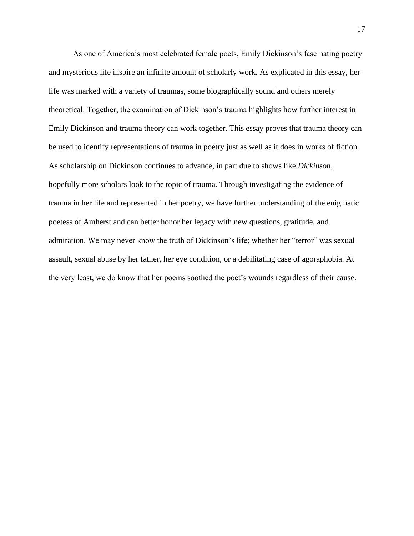As one of America's most celebrated female poets, Emily Dickinson's fascinating poetry and mysterious life inspire an infinite amount of scholarly work. As explicated in this essay, her life was marked with a variety of traumas, some biographically sound and others merely theoretical. Together, the examination of Dickinson's trauma highlights how further interest in Emily Dickinson and trauma theory can work together. This essay proves that trauma theory can be used to identify representations of trauma in poetry just as well as it does in works of fiction. As scholarship on Dickinson continues to advance, in part due to shows like *Dickinso*n, hopefully more scholars look to the topic of trauma. Through investigating the evidence of trauma in her life and represented in her poetry, we have further understanding of the enigmatic poetess of Amherst and can better honor her legacy with new questions, gratitude, and admiration. We may never know the truth of Dickinson's life; whether her "terror" was sexual assault, sexual abuse by her father, her eye condition, or a debilitating case of agoraphobia. At the very least, we do know that her poems soothed the poet's wounds regardless of their cause.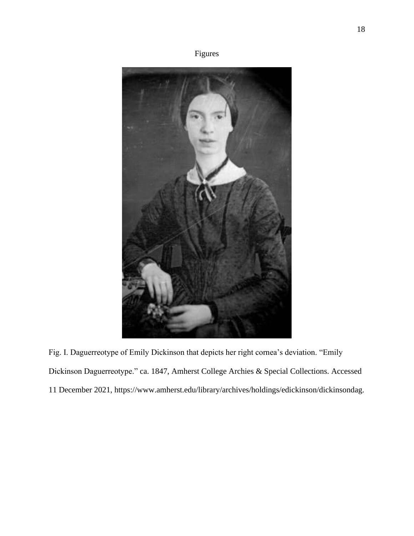



Fig. I. Daguerreotype of Emily Dickinson that depicts her right cornea's deviation. "Emily Dickinson Daguerreotype." ca. 1847, Amherst College Archies & Special Collections. Accessed 11 December 2021, https://www.amherst.edu/library/archives/holdings/edickinson/dickinsondag.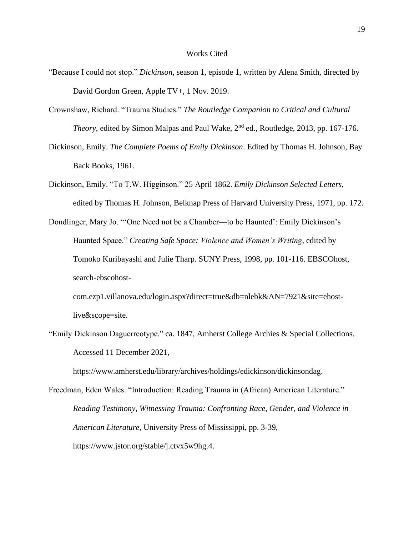### Works Cited

- "Because I could not stop." *Dickinson*, season 1, episode 1, written by Alena Smith, directed by David Gordon Green, Apple TV+, 1 Nov. 2019.
- Crownshaw, Richard. "Trauma Studies." *The Routledge Companion to Critical and Cultural Theory*, edited by Simon Malpas and Paul Wake, 2<sup>nd</sup> ed., Routledge, 2013, pp. 167-176.
- Dickinson, Emily. *The Complete Poems of Emily Dickinson*. Edited by Thomas H. Johnson, Bay Back Books, 1961.
- Dickinson, Emily. "To T.W. Higginson." 25 April 1862. *Emily Dickinson Selected Letters*, edited by Thomas H. Johnson, Belknap Press of Harvard University Press, 1971, pp. 172.
- Dondlinger, Mary Jo. "'One Need not be a Chamber—to be Haunted': Emily Dickinson's Haunted Space." *Creating Safe Space: Violence and Women's Writing*, edited by Tomoko Kuribayashi and Julie Tharp. SUNY Press, 1998, pp. 101-116. EBSCOhost, search-ebscohost
	- com.ezp1.villanova.edu/login.aspx?direct=true&db=nlebk&AN=7921&site=ehostlive&scope=site.
- "Emily Dickinson Daguerreotype." ca. 1847, Amherst College Archies & Special Collections. Accessed 11 December 2021,

https://www.amherst.edu/library/archives/holdings/edickinson/dickinsondag.

Freedman, Eden Wales. "Introduction: Reading Trauma in (African) American Literature." *Reading Testimony, Witnessing Trauma: Confronting Race, Gender, and Violence in American Literature*, University Press of Mississippi, pp. 3-39, https://www.jstor.org/stable/j.ctvx5w9hg.4.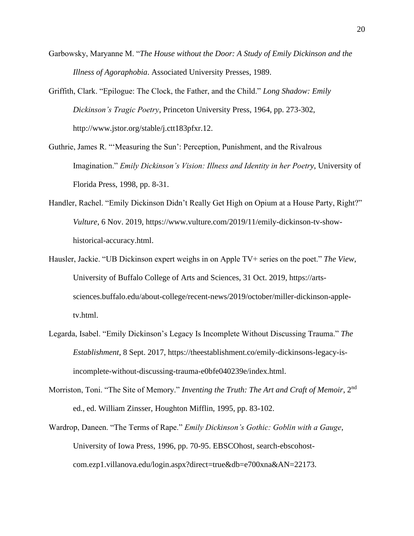- Garbowsky, Maryanne M. "*The House without the Door: A Study of Emily Dickinson and the Illness of Agoraphobia*. Associated University Presses, 1989.
- Griffith, Clark. "Epilogue: The Clock, the Father, and the Child." *Long Shadow: Emily Dickinson's Tragic Poetry*, Princeton University Press, 1964, pp. 273-302, http://www.jstor.org/stable/j.ctt183pfxr.12.
- Guthrie, James R. "'Measuring the Sun': Perception, Punishment, and the Rivalrous Imagination." *Emily Dickinson's Vision: Illness and Identity in her Poetry*, University of Florida Press, 1998, pp. 8-31.
- Handler, Rachel. "Emily Dickinson Didn't Really Get High on Opium at a House Party, Right?" *Vulture*, 6 Nov. 2019, https://www.vulture.com/2019/11/emily-dickinson-tv-showhistorical-accuracy.html.
- Hausler, Jackie. "UB Dickinson expert weighs in on Apple TV+ series on the poet." *The View*, University of Buffalo College of Arts and Sciences, 31 Oct. 2019, https://artssciences.buffalo.edu/about-college/recent-news/2019/october/miller-dickinson-appletv.html.
- Legarda, Isabel. "Emily Dickinson's Legacy Is Incomplete Without Discussing Trauma." *The Establishment*, 8 Sept. 2017, https://theestablishment.co/emily-dickinsons-legacy-isincomplete-without-discussing-trauma-e0bfe040239e/index.html.
- Morriston, Toni. "The Site of Memory." *Inventing the Truth: The Art and Craft of Memoir*, 2nd ed., ed. William Zinsser, Houghton Mifflin, 1995, pp. 83-102.
- Wardrop, Daneen. "The Terms of Rape." *Emily Dickinson's Gothic: Goblin with a Gauge*, University of Iowa Press, 1996, pp. 70-95. EBSCOhost, search-ebscohostcom.ezp1.villanova.edu/login.aspx?direct=true&db=e700xna&AN=22173.